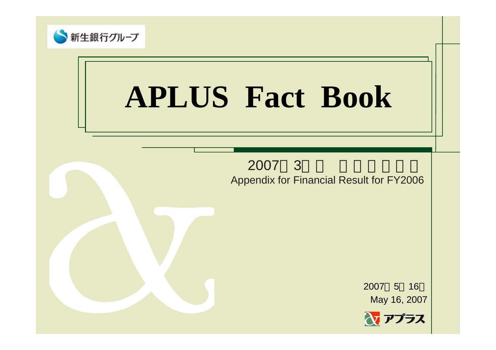

## **APLUS Fact Book**

2007 3 Appendix for Financial Result for FY2006

> 20075 16 May 16, 2007

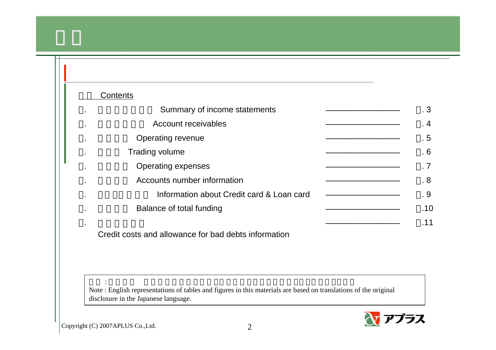## Contents

| ٠,             | Summary of income statements                            | $\cdot$ 3 |
|----------------|---------------------------------------------------------|-----------|
| ٠.             | Account receivables                                     | $\cdot$ 4 |
| ٠.             | Operating revenue                                       | .5        |
| ä,             | Trading volume                                          | .6        |
| $\blacksquare$ | <b>Operating expenses</b>                               | .7        |
| ä,             | Accounts number information                             | .8        |
| ä,             | Information about Credit card & Loan card               | . 9       |
|                | Balance of total funding                                | .10       |
|                |                                                         | .11       |
|                | Oueslit anato and allowances fou hard debts information |           |

Credit costs and allowance for bad debts information

Note : English representations of tables and figures in this materials are based on translations of the original disclosure in the Japanese language.



: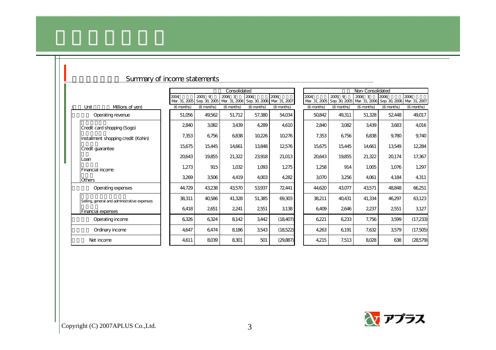|   | Summary of income statements                |            |                                           |                  |            |                                                   |                       |            |            |                                                                       |            |
|---|---------------------------------------------|------------|-------------------------------------------|------------------|------------|---------------------------------------------------|-----------------------|------------|------------|-----------------------------------------------------------------------|------------|
|   |                                             |            |                                           | Non-Consolidated |            |                                                   |                       |            |            |                                                                       |            |
|   |                                             | 2004       | $2005 - 9$<br>Mar. 31, 2005 Sep. 30, 2005 | 2006 3           | 2006       | 2006<br>Mar. 31, 2006 Sep. 30, 2006 Mar. 31, 2007 | 2004<br>Mar. 31, 2005 | 2005 9     | 2006 3     | 2006<br>Sep. 30, 2005   Mar. 31, 2006   Sep. 30, 2006   Mar. 31, 2007 | 2006       |
|   | Unit<br>Millions of yen)                    | (6 months) | (6 months)                                | (6 months)       | (6 months) | (6 months)                                        | (6 months)            | (6 months) | (6 months) | (6 months)                                                            | (6 months) |
|   | Operating revenue                           | 51,056     | 49,562                                    | 51,712           | 57,380     | 54,034                                            | 50,842                | 49,311     | 51,328     | 52,448                                                                | 49,017     |
|   | Credit card shopping (Sogo)                 | 2840       | 3082                                      | 3,439            | 4,289      | 4,610                                             | 2840                  | 3,082      | 3,439      | 3,683                                                                 | 4016       |
|   | Installment shopping credit (Kohin)         | 7,353      | 6756                                      | 6838             | 10,226     | 10,276                                            | 7,353                 | 6,756      | 6838       | 9,780                                                                 | 9,740      |
|   | Credit guarantee                            | 15,675     | 15,445                                    | 14,661           | 13,848     | 12576                                             | 15,675                | 15,445     | 14,661     | 13,549                                                                | 12,284     |
| I | Loan                                        | 20,643     | 19,855                                    | 21,322           | 23,918     | 21,013                                            | 20,643                | 19,855     | 21,322     | 20,174                                                                | 17,367     |
|   | <b>Financial income</b>                     | 1,273      | 915                                       | 1,032            | 1,093      | 1,275                                             | 1,258                 | 914        | 1,005      | 1,076                                                                 | 1,297      |
|   | <b>Others</b>                               | 3,269      | 3506                                      | 4,419            | 4,003      | 4,282                                             | 3,070                 | 3,256      | 4,061      | 4,184                                                                 | 4,311      |
|   | Operating expenses                          | 44,729     | 43,238                                    | 43,570           | 53,937     | 72,441                                            | 44,620                | 43,077     | 43,571     | 48,848                                                                | 66,251     |
|   | Selling general and administrative expenses | 38,311     | 40586                                     | 41,328           | 51,385     | 69,303                                            | 38,211                | 40,431     | 41,334     | 46,297                                                                | 63123      |
|   | <b>Financial expenses</b>                   | 6418       | 2651                                      | 2,241            | 2551       | 3,138                                             | 6,409                 | 2646       | 2,237      | 2551                                                                  | 3,127      |
|   | Operating income                            | 6326       | 6324                                      | 8142             | 3,442      | (18,407)                                          | 6,221                 | 6,233      | 7,756      | 3,599                                                                 | (17, 233)  |
|   | Ordinary income                             | 4,647      | 6474                                      | 8186             | 3543       | (18,522)                                          | 4,263                 | 6,191      | 7,632      | 3,579                                                                 | (17,505)   |
|   | Net income                                  | 4,611      | 8039                                      | 8,301            | 501        | (29, 887)                                         | 4,215                 | 7,513      | 8,028      | 638                                                                   | (28,579)   |

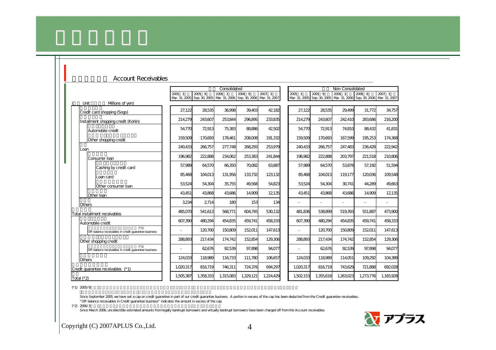|            | ACCOUNT RECEIVANCS                                              |           |           |              |                                                                       |           |                          |           |                  |           |                                                                       |
|------------|-----------------------------------------------------------------|-----------|-----------|--------------|-----------------------------------------------------------------------|-----------|--------------------------|-----------|------------------|-----------|-----------------------------------------------------------------------|
|            |                                                                 |           |           | Consolidated |                                                                       |           |                          |           | Non-Consolidated |           |                                                                       |
|            |                                                                 | 2005 3    | 2005 9    | 2006 3       | 2006 9                                                                | 2007 3    | 2005 3                   | 2005 9    | 2006 3           | 2006 9    | 2007 3                                                                |
|            |                                                                 |           |           |              | Mar. 31, 2005 Sep. 30, 2005 Mar. 31, 2006 Sep. 30, 2006 Mar. 31, 2007 |           |                          |           |                  |           | Mar. 31, 2005 Sep. 30, 2005 Mar. 31, 2006 Sep. 30, 2006 Mar. 31, 2007 |
|            | Millions of yen)<br>Unit                                        |           |           |              |                                                                       |           |                          |           |                  |           |                                                                       |
|            | Credit card shopping (Sogo)                                     | 27,122    | 28535     | 36.998       | 39.403                                                                | 42182     | 27,122                   | 28535     | 29,499           | 31,772    | 34,757                                                                |
|            | Installment shopping credit (Kohin)                             | 214,279   | 243,607   | 253,844      | 296,895                                                               | 233,835   | 214,279                  | 243,607   | 242,410          | 283,686   | 216,200                                                               |
|            | Automobile credit                                               | 54,770    | 72913     | 75,383       | 88886                                                                 | 42502     | 54,770                   | 72913     | 74,810           | 88432     | 41,831                                                                |
|            | Other shopping credit                                           | 159,509   | 170,693   | 178,461      | 208008                                                                | 191,332   | 159,509                  | 170,693   | 167,599          | 195,253   | 174,368                                                               |
| Loan       |                                                                 | 240433    | 266,757   | 277,748      | 268,293                                                               | 253,979   | 240,433                  | 266,757   | 247,483          | 236.428   | 222,942                                                               |
|            | Consumer Ioan                                                   | 196,982   | 222,888   | 234,062      | 253,383                                                               | 241,844   | 196,982                  | 222,888   | 203,797          | 221,518   | 210806                                                                |
|            | Cashing by credit card                                          | 57,989    | 64,570    | 66350        | 70082                                                                 | 63,887    | 57,989                   | 64,570    | 53,878           | 57.192    | 51,594                                                                |
|            | Loan card                                                       | 85,468    | 104,013   | 131,956      | 133.732                                                               | 123,132   | 85.468                   | 104.013   | 119177           | 120036    | 109,548                                                               |
|            | Other consumer loan                                             | 53,524    | 54,304    | 35,755       | 49,568                                                                | 54,823    | 53,524                   | 54,304    | 30,741           | 44,289    | 49,663                                                                |
|            | Other Ioan                                                      | 43,451    | 43,868    | 43,686       | 14,909                                                                | 12135     | 43,451                   | 43,868    | 43,686           | 14,909    | 12135                                                                 |
|            | <b>Others</b>                                                   | 3,234     | 2714      | 180          | 153                                                                   | 134       |                          | L.        |                  |           | $\overline{\phantom{a}}$                                              |
|            | Total installment receivables                                   | 485,070   | 541,613   | 568,771      | 604,745                                                               | 530132    | 481,836                  | 538,899   | 519,393          | 551,887   | 473,900                                                               |
|            | Automobile credit                                               | 607.390   | 480,294   | 454,835      | 459.741                                                               | 458.333   | 607,390                  | 480.294   | 454,835          | 459.741   | 458,333                                                               |
|            | $(* 1)$<br>Off-balance receivables in credit quarantee business |           | 120700    | 150,809      | 152011                                                                | 147,613   | $\overline{\phantom{a}}$ | 120.700   | 150809           | 152011    | 147,613                                                               |
|            | Other shopping credit                                           | 288.893   | 217,434   | 174.742      | 152854                                                                | 129,306   | 288,893                  | 217,434   | 174,742          | 152854    | 129,306                                                               |
|            | $(* 1)$<br>Off-balance receivables in credit quarantee business |           | 62676     | 92539        | 97,898                                                                | 94,077    | $\overline{\phantom{a}}$ | 62,676    | 92539            | 97,898    | 94,077                                                                |
|            | <b>Others</b>                                                   | 124,033   | 118989    | 116,733      | 111,780                                                               | 106,657   | 124,033                  | 118,989   | 114,051          | 109,292   | 104,389                                                               |
|            | Credit quarantee receivables (*1)                               | 1,020,317 | 816719    | 746,311      | 724,376                                                               | 694,297   | 1,020,317                | 816,719   | 743629           | 721,888   | 692028                                                                |
| Total (*2) |                                                                 | 1,505,387 | 1,358,333 | 1,315,083    | 1,329,121                                                             | 1,224,429 | 1,502,153                | 1,355,618 | 1,263023         | 1,273,776 | 1,165,928                                                             |

## A cool int Deceivables

 $(*1)$  2005/9

Since September 2005, we have set a cap on credit guarantee in part of our credit guarantee business. A portion in excess of the cap has been deducted from the Credit guarantee receivables. "Off-balance receivables in Credit guarantee business" indicates the amount in excess of the cap.

 $(*2)$  2006/3

Since March 2006, uncollectible estimated amounts from legally bankrupt borrowers and virtually bankrupt borrowers have been charged off from the Account receivables.

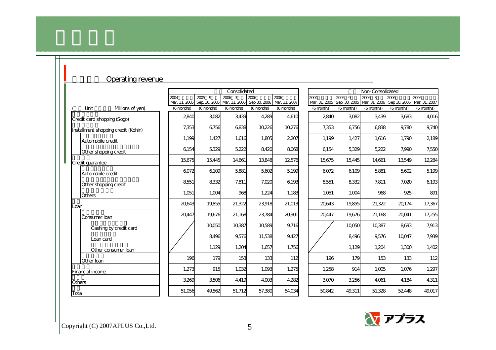|        | Operating revenue                   |                       |            |              |                                                                |            |            |                                       |                  |                                                  |            |
|--------|-------------------------------------|-----------------------|------------|--------------|----------------------------------------------------------------|------------|------------|---------------------------------------|------------------|--------------------------------------------------|------------|
|        |                                     |                       |            | Consolidated |                                                                |            |            |                                       | Non-Consolidated |                                                  |            |
|        |                                     | 2004<br>Mar. 31, 2005 | 2005 9     | 2006 3       | 2006<br>Sep. 30, 2005 Mar. 31, 2006 Sep 30, 2006 Mar. 31, 2007 | 2006       | 2004       | 2005 9<br>Mar. 31, 2005 Sep. 30, 2005 | 2006 3           | 2006<br>Mar. 31, 2006 Sep 30, 2006 Mar. 31, 2007 | 2006       |
|        | Unit<br>Millions of yen)            | (6 months)            | (6 months) | (6 months)   | (6 months)                                                     | (6 months) | (6 months) | (6 months)                            | (6 months)       | (6 months)                                       | (6 months) |
|        | Credit card shopping (Sogo)         | 2840                  | 3082       | 3,439        | 4,289                                                          | 4,610      | 2840       | 3082                                  | 3,439            | 3683                                             | 4016       |
|        | Installment shopping credit (Kohin) | 7.353                 | 6756       | 6838         | 10,226                                                         | 10,276     | 7,353      | 6,756                                 | 6838             | 9.780                                            | 9.740      |
|        | Automobile credit                   | 1,199                 | 1,427      | 1,616        | 1,805                                                          | 2,207      | 1,199      | 1,427                                 | 1,616            | 1,790                                            | 2189       |
|        | Other shopping credit               | 6154                  | 5,329      | 5,222        | 8420                                                           | 8068       | 6154       | 5,329                                 | 5,222            | 7,990                                            | 7,550      |
|        | Credit quarantee                    | 15,675                | 15,445     | 14,661       | 13,848                                                         | 12,576     | 15,675     | 15,445                                | 14.661           | 13,549                                           | 12,284     |
|        | Automobile credit                   | 6072                  | 6109       | 5,881        | 5,602                                                          | 5,199      | 6072       | 6109                                  | 5,881            | 5,602                                            | 5,199      |
|        | Other shopping credit               | 8551                  | 8332       | 7,811        | 7,020                                                          | 6193       | 8551       | 8332                                  | 7,811            | 7,020                                            | 6193       |
|        | <b>Others</b>                       | 1,051                 | 1,004      | 968          | 1,224                                                          | 1,183      | 1,051      | 1,004                                 | 968              | 925                                              | 891        |
| Loan   |                                     | 20,643                | 19,855     | 21,322       | 23,918                                                         | 21,013     | 20,643     | 19,855                                | 21,322           | 20174                                            | 17,367     |
|        | Consumer Ioan                       | 20447                 | 19.676     | 21,168       | 23,784                                                         | 20,901     | 20447      | 19.676                                | 21,168           | 20041                                            | 17,255     |
|        | Cashing by credit card              |                       | 10,050     | 10,387       | 10,589                                                         | 9,716      |            | 10050                                 | 10,387           | 8693                                             | 7,913      |
|        | Loan card                           |                       | 8496       | 9,576        | 11,538                                                         | 9,427      |            | 8,496                                 | 9,576            | 10,047                                           | 7,939      |
|        | Other consumer loan                 |                       | 1,129      | 1,204        | 1,657                                                          | 1,756      |            | 1,129                                 | 1,204            | 1,300                                            | 1,402      |
|        | Other Ioan                          | 196                   | 179        | 153          | 133                                                            | 112        | 196        | 179                                   | 153              | 133                                              | 112        |
|        | <b>Financial income</b>             | 1,273                 | 915        | 1,032        | 1,093                                                          | 1,275      | 1,258      | 914                                   | 1,005            | 1.076                                            | 1,297      |
| Others |                                     | 3,269                 | 3,506      | 4,419        | 4,003                                                          | 4,282      | 3,070      | 3,256                                 | 4,061            | 4,184                                            | 4,311      |
| Total  |                                     | 51,056                | 49,562     | 51,712       | 57,380                                                         | 54,034     | 50,842     | 49,311                                | 51,328           | 52448                                            | 49,017     |





Copyright (C) 2007APLUS Co., Ltd.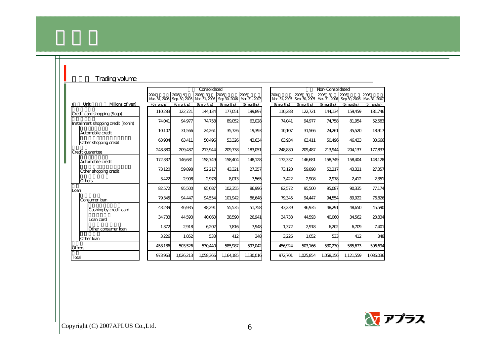| Trading volume                      |                       |            |                                                                  |            |            |                       |            |                                       |                                    |            |
|-------------------------------------|-----------------------|------------|------------------------------------------------------------------|------------|------------|-----------------------|------------|---------------------------------------|------------------------------------|------------|
|                                     |                       |            | Consolidated                                                     |            |            |                       |            | Non-Consolidated                      |                                    |            |
|                                     | 2004<br>Mar. 31, 2005 | 2005 9     | 2006 3<br>Sep. 30, 2005 Mar. 31, 2006 Sep 30, 2006 Mar. 31, 2007 | 2006       | 2006       | 2004<br>Mar. 31, 2005 | $2005 - 9$ | 2006 3<br>Sep. 30, 2005 Mar. 31, 2006 | 2006<br>Sep 30, 2006 Mar. 31, 2007 | 2006       |
| Milions of yen)<br>Unit             | $(6$ months)          | (6 months) | (6 months)                                                       | (6 months) | (6 months) | (6 months)            | (6 months) | (6 months)                            | (6 months)                         | (6 months) |
| Credit card shopping (Sogo)         | 110,283               | 122721     | 144,134                                                          | 177,051    | 199,897    | 110,283               | 122,721    | 144,134                               | 159,459                            | 181,746    |
| Installment shopping credit (Kohin) | 74,041                | 94.977     | 74,758                                                           | 89,052     | 63,028     | 74.041                | 94,977     | 74,758                                | 81,954                             | 52583      |
| Automobile credit                   | 10,107                | 31,566     | 24,261                                                           | 35,726     | 19,393     | 10,107                | 31,566     | 24,261                                | 35,520                             | 18917      |
| Other shopping credit               | 63,934                | 63,411     | 50,496                                                           | 53,326     | 43,634     | 63,934                | 63,411     | 50,496                                | 46,433                             | 33,666     |
| Credit quarantee                    | 248,880               | 209,487    | 213944                                                           | 209,738    | 183051     | 248880                | 209,487    | 213,944                               | 204.137                            | 177,837    |
| Automobile credit                   | 172,337               | 146,681    | 158749                                                           | 158,404    | 148128     | 172337                | 146,681    | 158749                                | 158404                             | 148,128    |
| Other shopping credit               | 73,120                | 59,898     | 52,217                                                           | 43,321     | 27,357     | 73,120                | 59,898     | 52,217                                | 43,321                             | 27,357     |
| <b>Others</b>                       | 3,422                 | 2908       | 2978                                                             | 8013       | 7,565      | 3,422                 | 2908       | 2978                                  | 2412                               | 2351       |
| Loan                                | 82572                 | 95,500     | 95,087                                                           | 102355     | 86,996     | 82572                 | 95,500     | 95,087                                | 90335                              | 77,174     |
| Consumer Ioan                       | 79,345                | 94,447     | 94,554                                                           | 101,942    | 86,648     | 79,345                | 94,447     | 94,554                                | 89,922                             | 76826      |
| Cashing by credit card              | 43,239                | 46,935     | 48,291                                                           | 55,535     | 51,758     | 43,239                | 46,935     | 48,291                                | 48,650                             | 45,590     |
| Loan card                           | 34,733                | 44,593     | 40,060                                                           | 38,590     | 26,941     | 34,733                | 44,593     | 40,060                                | 34,562                             | 23,834     |
| Other consumer loan                 | 1,372                 | 2918       | 6,202                                                            | 7,816      | 7,948      | 1,372                 | 2918       | 6,202                                 | 6,709                              | 7,401      |
| Other Ioan                          | 3,226                 | 1,052      | 533                                                              | 412        | 348        | 3,226                 | 1,052      | 533                                   | 412                                | 348        |
| Others                              | 458,186               | 503,526    | 530,440                                                          | 585,987    | 597,042    | 456,924               | 503,166    | 530,230                               | 585,673                            | 596,694    |
| Total                               | 973,963               | 1,026,213  | 1,058,366                                                        | 1,164,185  | 1,130016   | 972701                | 1,025,854  | 1,058,156                             | 1,121,559                          | 1,086,036  |

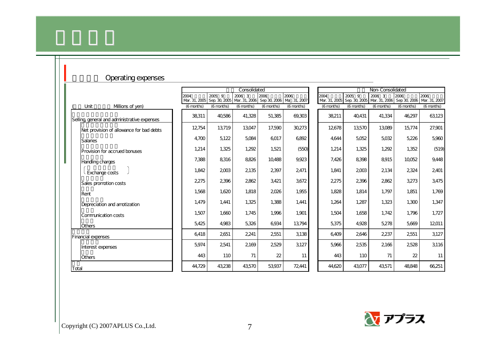| Operating expenses                           |                       |                         |              |            |                                                 |            |                                                     |                  |                      |                       |
|----------------------------------------------|-----------------------|-------------------------|--------------|------------|-------------------------------------------------|------------|-----------------------------------------------------|------------------|----------------------|-----------------------|
|                                              |                       |                         | Consolidated |            |                                                 |            |                                                     | Non-Consolidated |                      |                       |
|                                              | 2004<br>Mar. 31, 2005 | 2005 9<br>Sep. 30, 2005 | 2006 3       | 2006       | 2006<br>Mar. 31, 2006 Sep 30, 2006 Ma. 31, 2007 | 2004       | 2005 9<br>Mar. 31, 2005 Sep. 30, 2005 Mar. 31, 2006 | 2006 3           | 2006<br>Sep 30, 2006 | 2006<br>Mar. 31, 2007 |
| Unit<br>Millions of yen)                     | (6 months)            | (6 months)              | (6 months)   | (6 months) | (6 months)                                      | (6 months) | (6 months)                                          | (6 months)       | (6 months)           | (6 months)            |
| Selling, general and administrative expenses | 38311                 | 40,586                  | 41,328       | 51,385     | 69,303                                          | 38,211     | 40,431                                              | 41,334           | 46,297               | 63123                 |
| Net provision of allowance for bad debts     | 12754                 | 13,719                  | 13,047       | 17,590     | 30,273                                          | 12,678     | 13,570                                              | 13,089           | 15,774               | 27,901                |
| <b>Salaries</b>                              | 4,700                 | 5,122                   | 5,084        | 6017       | 6892                                            | 4,644      | 5,052                                               | 5,032            | 5,226                | 5,960                 |
| Provision for accrued bonuses                | 1,214                 | 1,325                   | 1,292        | 1,521      | (550)                                           | 1,214      | 1,325                                               | 1,292            | 1,352                | (519)                 |
| Handling charges                             | 7,388                 | 8,316                   | 8826         | 10,488     | 9,923                                           | 7,426      | 8,398                                               | 8915             | 10,052               | 9,448                 |
| Exchange costs                               | 1,842                 | 2,003                   | 2135         | 2397       | 2471                                            | 1,841      | 2003                                                | 2134             | 2,324                | 2401                  |
| Sales promotion costs                        | 2275                  | 2396                    | 2862         | 3,421      | 3672                                            | 2275       | 2396                                                | 2862             | 3,273                | 3,475                 |
| Rent                                         | 1,568                 | 1,620                   | 1,818        | 2026       | 1,955                                           | 1,828      | 1,814                                               | 1,797            | 1,851                | 1,769                 |
| Depreciation and amotization                 | 1,479                 | 1,441                   | 1,325        | 1,388      | 1,441                                           | 1,264      | 1,287                                               | 1,323            | 1,300                | 1,347                 |
| Communication costs                          | 1,507                 | 1,660                   | 1,745        | 1,996      | 1,901                                           | 1,504      | 1.658                                               | 1,742            | 1,796                | 1,727                 |
| Others                                       | 5,425                 | 4,983                   | 5,326        | 6,934      | 13,794                                          | 5,375      | 4,928                                               | 5,278            | 5,669                | 12011                 |
| <b>Financial expenses</b>                    | 6418                  | 2651                    | 2241         | 2551       | 3138                                            | 6,409      | 2646                                                | 2,237            | 2551                 | 3,127                 |
| Interest expenses                            | 5,974                 | 2541                    | 2169         | 2529       | 3,127                                           | 5,966      | 2,535                                               | 2166             | 2528                 | 3116                  |
| Others                                       | 443                   | 110                     | 71           | 22         | 11                                              | 443        | 110                                                 | 71               | 22                   | 11                    |
| Total                                        | 44,729                | 43,238                  | 43,570       | 53,937     | 72,441                                          | 44,620     | 43,077                                              | 43,571           | 48,848               | 66,251                |

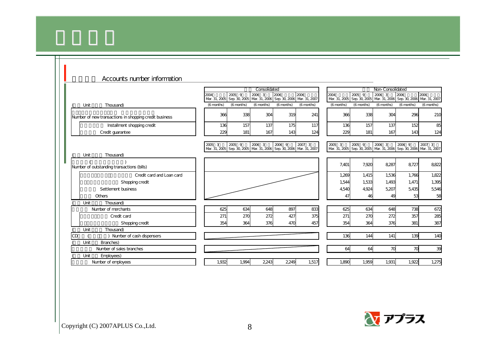|                                                        |            |            | Consolidated |            |                                                                                 |                                     |            | Non-Consolidated                                                                |                                                   |            |
|--------------------------------------------------------|------------|------------|--------------|------------|---------------------------------------------------------------------------------|-------------------------------------|------------|---------------------------------------------------------------------------------|---------------------------------------------------|------------|
|                                                        | 2004       | 2005 9     | 2006 3       | 2006       | 2006<br>Mar. 31, 2005 Sep. 30, 2005 Mar. 31, 2006 Sep. 30, 2006 Mar. 31, 2007   | 2004<br>Mar. 31, 2005 Sep. 30, 2005 | 2005 9     | 2006 3                                                                          | 2006<br>Mar. 31, 2006 Sep. 30, 2006 Mar. 31, 2007 | 2006       |
| Unit<br>Thousand)                                      | (6 months) | (6 months) | (6 months)   | (6 months) | (6 months)                                                                      | (6 months)                          | (6 months) | (6 months)                                                                      | (6 months)                                        | (6 months) |
| Number of new transactions in shopping credit business | 366        | 338        | 304          | 319        | 241                                                                             | 366                                 | 338        | 304                                                                             | 296                                               | 210        |
| Installment shopping credit                            | 136        | 157        | 137          | 175        | 117                                                                             | 136                                 | 157        | 137                                                                             | 152                                               | 85         |
| Credit quarantee                                       | 229        | 181        | 167          | 143        | 124                                                                             | 229                                 | 181        | 167                                                                             | 143                                               | 124        |
|                                                        | 2005 3     | 2005 9     | 2006 3       | 2006 9     | 2007 3<br>Mar. 31, 2005 Sep. 30, 2005 Mar. 31, 2006 Sep. 30, 2006 Mar. 31, 2007 | 2005 3                              | 2005 9     | 2006 3<br>Mar. 31, 2005 Sep. 30, 2005 Mar. 31, 2006 Sep. 30, 2006 Mar. 31, 2007 | 2006 9                                            | 2007 3     |
| Unit<br>Thousand)                                      |            |            |              |            |                                                                                 |                                     |            |                                                                                 |                                                   |            |
| Number of outstanding transactions (bills)             |            |            |              |            |                                                                                 | 7,401                               | 7,920      | 8,287                                                                           | 8.727                                             | 8822       |
| Credit card and Loan card                              |            |            |              |            |                                                                                 | 1,269                               | 1.415      | 1,536                                                                           | 1.766                                             | 1,822      |
| Shopping credit                                        |            |            |              |            |                                                                                 | 1,544                               | 1,533      | 1,493                                                                           | 1,471                                             | 1,395      |
| Settlement business                                    |            |            |              |            |                                                                                 | 4,540                               | 4,924      | 5,207                                                                           | 5.435                                             | 5,546      |
| Others                                                 |            |            |              |            |                                                                                 | 47                                  | 46         | 49                                                                              | 53                                                | 58         |
| Unit<br>Thousand)                                      |            |            |              |            |                                                                                 |                                     |            |                                                                                 |                                                   |            |
| Number of merchants                                    | 625        | 634        | 648          | 897        | 833                                                                             | 625                                 | 634        | 648                                                                             | 738                                               | 672        |
| Credit card                                            | 271        | 270        | 272          | 427        | 375                                                                             | 271                                 | 270        | 272                                                                             | 357                                               | 285        |
| Shopping credit                                        | 354        | 364        | 376          | 470        | 457                                                                             | 354                                 | 364        | 376                                                                             | 381                                               | 387        |
| Thousand)<br>Unit                                      |            |            |              |            |                                                                                 |                                     |            |                                                                                 |                                                   |            |
| CD<br>Number of cash dispensers                        |            |            |              |            |                                                                                 | 136                                 | 144        | 141                                                                             | 139                                               | 140        |
| Branches)<br>Unit                                      |            |            |              |            |                                                                                 |                                     |            |                                                                                 |                                                   |            |
| Number of sales branches                               |            |            |              |            |                                                                                 | 64                                  | 64         | 70                                                                              | 70                                                | 39         |
| Unit<br>Employees)                                     | 1.932      | 1.994      | 2243         | 2249       | 1,517                                                                           | 1.890                               | 1.959      | 1.931                                                                           | 1.922                                             | 1,275      |
| Number of employees                                    |            |            |              |            |                                                                                 |                                     |            |                                                                                 |                                                   |            |

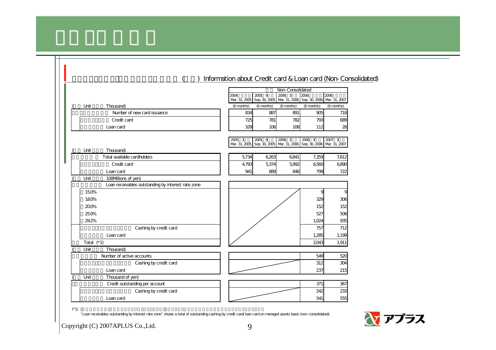|                                                    | Information about Credit card & Loan card (Non-Consolidated)                                                                         |
|----------------------------------------------------|--------------------------------------------------------------------------------------------------------------------------------------|
|                                                    | Non-Consolidated                                                                                                                     |
|                                                    | 2005 9<br>2006 3<br>2006<br>2006<br>2004<br>Mar. 31, 2005 Sep. 30, 2005 Mar. 31, 2006 Sep. 30, 2006 Mar. 31, 2007                    |
| Unit<br>Thousand)                                  | (6 months)<br>(6 months)<br>(6 months)<br>(6 months)<br>(6 months)                                                                   |
| Number of new card issuance                        | 834<br>891<br>905<br>887<br>718                                                                                                      |
| Credit card                                        | 793<br>725<br>781<br>782<br>689                                                                                                      |
| Loan card                                          | 109<br>106<br>112<br>28<br>108                                                                                                       |
|                                                    |                                                                                                                                      |
|                                                    | 2005 3<br>$\overline{2005}$ 9<br>2006 3<br>2006 9<br>2007 3<br>Mar. 31, 2005 Sep. 30, 2005 Mar. 31, 2006 Sep. 30, 2006 Mar. 31, 2007 |
| Thousand)<br>Unit                                  |                                                                                                                                      |
| Total available cardholders                        | 5,734<br>6,263<br>6,841<br>7,359<br>7,612                                                                                            |
| Credit card                                        | 4,793<br>5,374<br>5,992<br>6560<br>6890                                                                                              |
| Loan card                                          | 941<br>889<br>848<br>799<br>722                                                                                                      |
| Unit<br>100Millions of yen)                        |                                                                                                                                      |
| Loan receivables outstanding by interest rate zone |                                                                                                                                      |
| 150%                                               |                                                                                                                                      |
| 180%                                               | 329<br>306                                                                                                                           |
| 200%                                               | 152<br>152                                                                                                                           |
| 25.0%                                              | 527<br>506                                                                                                                           |
| 29.2%                                              | 1,024<br>935                                                                                                                         |
| Cashing by credit card                             | 757<br>712                                                                                                                           |
| Loan card                                          | 1,285<br>1,199                                                                                                                       |
| Total $(*1)$                                       | 2043<br>1,911                                                                                                                        |
| Unit<br>Thousand)                                  |                                                                                                                                      |
| Number of active accounts                          | 549<br>520                                                                                                                           |
| Cashing by credit card                             | 312<br>304                                                                                                                           |
| Loan card                                          | 237<br>215                                                                                                                           |
| Unit<br>Thousand of yen)                           |                                                                                                                                      |
| Credit outstanding per account                     | 371<br>367                                                                                                                           |
| Cashing by credit card                             | 242<br>233                                                                                                                           |
| Loan card                                          | 541<br>555                                                                                                                           |

(\* 1)  $($ 

"Loan receivables outstanding by interest rate zone" shows a total of outstanding cashing by credit card/loan card on managed assets basis (non-consolidated).

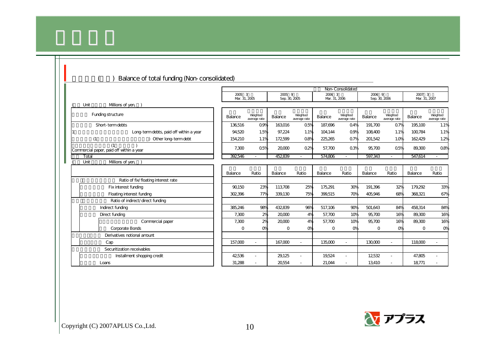|                                          |                         |                          |                         |                          |                         | Non-Consolidated         |                         |                          |                         |                          |
|------------------------------------------|-------------------------|--------------------------|-------------------------|--------------------------|-------------------------|--------------------------|-------------------------|--------------------------|-------------------------|--------------------------|
|                                          | 2005 3<br>Mar. 31, 2005 |                          | 2005 9<br>Sep. 30, 2005 |                          | 2006 3<br>Mar. 31, 2006 |                          | 2006 9<br>Sep. 30, 2006 |                          | 2007 3<br>Mar. 31, 2007 |                          |
| Unit<br>Millions of yen,                 |                         |                          |                         |                          |                         |                          |                         |                          |                         |                          |
| Funding structure                        | Balance                 | Weighted<br>average rate | Balance                 | Weighted<br>average rate | Balance                 | Weighted<br>average rate | Balance                 | Weighted<br>average rate | Balance                 | Weighted<br>average rate |
| Short-term debts                         | 136516                  | $Q\mathcal{P}$           | 163016                  | 05%                      | 187.696                 | Q4%                      | 191.700                 | Q7%                      | 195,100                 | 1.1%                     |
| Long-term debts, paid off within a year  | 94.520                  | 1.5%                     | 97.224                  | 1.1%                     | 104.144                 | $\Omega$ %               | 108400                  | 1.1%                     | 100784                  | 1.1%                     |
| (1)<br>Other long-term debt              | 154.210                 | 1.1%                     | 172599                  | 08%                      | 225,265                 | Q7%                      | 201.542                 | 1.0%                     | 162429                  | 1.2%                     |
| Commercial paper, paid off within a year | 7,300                   | $\Omega$ <sub>5%</sub>   | 20000                   | 02%                      | 57.700                  | 0.3%                     | 95700                   | Q5%                      | 89.300                  | $\Omega$ 8%              |
| Total                                    | 392546                  | $\sim$                   | 452839                  |                          | 574.806                 |                          | 597,343                 | $\blacksquare$           | 547.614                 | $\blacksquare$           |
| Millions of yen,<br>Unit                 |                         |                          |                         |                          |                         |                          |                         |                          |                         |                          |
|                                          | Balance                 | Ratio                    | Balance                 | Ratio                    | Balance                 | Ratio                    | Balance                 | Ratio                    | Balance                 | Ratio                    |
| Ratio of fix/floating interest rate      |                         |                          |                         |                          |                         |                          |                         |                          |                         |                          |
| Fix interest funding                     | 90.150                  | 23%                      | 113,708                 | 25%                      | 175,291                 | 30%                      | 191,396                 | 32%                      | 179,292                 | 33%                      |
| Floating interest funding                | 302396                  | 77%                      | 339,130                 | 75%                      | 399,515                 | <b>70%</b>               | 405.946                 | 68%                      | 368,321                 | 67%                      |
| Ratio of indirect/direct funding         |                         |                          |                         |                          |                         |                          |                         |                          |                         |                          |
| Indirect funding                         | 385.246                 | 98%                      | 432839                  | 96%                      | 517.106                 | 90%                      | 501.643                 | 84%                      | 458314                  | 84%                      |
| Direct funding                           | 7,300                   | 2%                       | 20,000                  | 4%                       | 57,700                  | 10%                      | 95700                   | 16%                      | 89.300                  | 16%                      |
| Commercial paper                         | 7,300                   | 2%                       | 20,000                  | 4%                       | 57,700                  | 10%                      | 95,700                  | 16%                      | 89.300                  | 16%                      |
| <b>Corporate Bonds</b>                   | $\Omega$                | O <sub>K</sub>           | $\Omega$                | <b>O</b>                 | $\Omega$                | O%                       | $\Omega$                | O <sub>N</sub>           | $\Omega$                | O%                       |
| Derivatives notional amount              |                         |                          |                         |                          |                         |                          |                         |                          |                         |                          |
| Cap                                      | 157,000                 |                          | 167.000                 | $\sim$                   | 135,000                 |                          | 130,000                 | $\blacksquare$           | 118000                  |                          |
| Securitization receivables               |                         |                          |                         |                          |                         |                          |                         |                          |                         |                          |
| Installment shopping credit              | 42536                   |                          | 29,125                  |                          | 19,524                  |                          | 12532                   | $\sim$                   | 47,805                  |                          |
| Loans                                    | 31,288                  |                          | 20554                   |                          | 21,044                  |                          | 13,410                  |                          | 18771                   |                          |



 $\blacksquare$